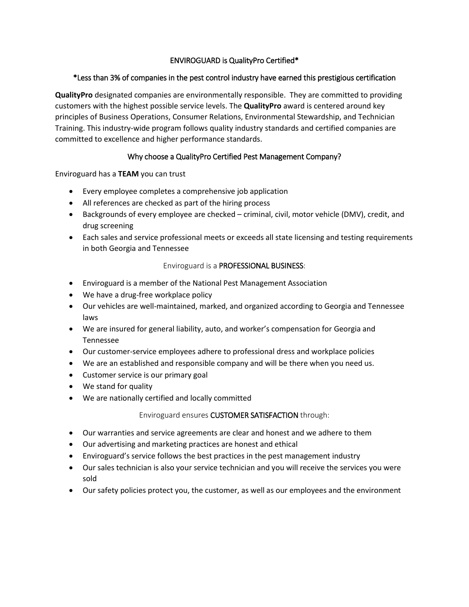# ENVIROGUARD is QualityPro Certified\*

#### \*Less than 3% of companies in the pest control industry have earned this prestigious certification

**QualityPro** designated companies are environmentally responsible. They are committed to providing customers with the highest possible service levels. The **QualityPro** award is centered around key principles of Business Operations, Consumer Relations, Environmental Stewardship, and Technician Training. This industry-wide program follows quality industry standards and certified companies are committed to excellence and higher performance standards.

## Why choose a QualityPro Certified Pest Management Company?

Enviroguard has a **TEAM** you can trust

- Every employee completes a comprehensive job application
- All references are checked as part of the hiring process
- Backgrounds of every employee are checked criminal, civil, motor vehicle (DMV), credit, and drug screening
- Each sales and service professional meets or exceeds all state licensing and testing requirements in both Georgia and Tennessee

## Enviroguard is a PROFESSIONAL BUSINESS:

- Enviroguard is a member of the National Pest Management Association
- We have a drug-free workplace policy
- Our vehicles are well-maintained, marked, and organized according to Georgia and Tennessee laws
- We are insured for general liability, auto, and worker's compensation for Georgia and Tennessee
- Our customer-service employees adhere to professional dress and workplace policies
- We are an established and responsible company and will be there when you need us.
- Customer service is our primary goal
- We stand for quality
- We are nationally certified and locally committed

#### Enviroguard ensures CUSTOMER SATISFACTION through:

- Our warranties and service agreements are clear and honest and we adhere to them
- Our advertising and marketing practices are honest and ethical
- Enviroguard's service follows the best practices in the pest management industry
- Our sales technician is also your service technician and you will receive the services you were sold
- Our safety policies protect you, the customer, as well as our employees and the environment